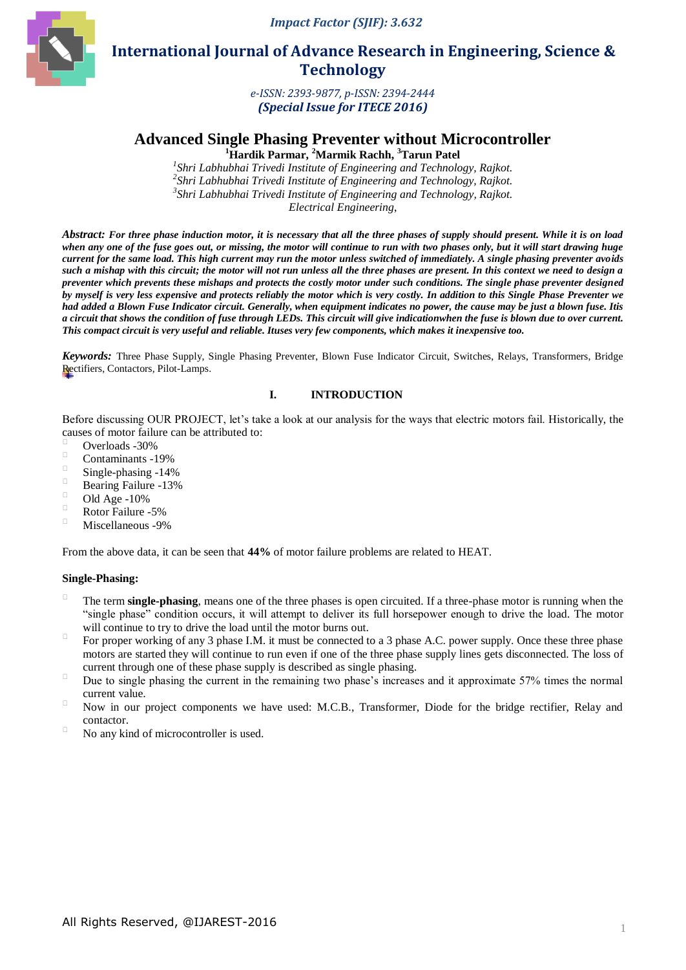*Impact Factor (SJIF): 3.632*



 **International Journal of Advance Research in Engineering, Science & Technology** 

> *e-ISSN: 2393-9877, p-ISSN: 2394-2444 (Special Issue for ITECE 2016)*

# **Advanced Single Phasing Preventer without Microcontroller**

**<sup>1</sup>Hardik Parmar, <sup>2</sup>Marmik Rachh, <sup>3</sup>Tarun Patel**

 *Shri Labhubhai Trivedi Institute of Engineering and Technology, Rajkot. Shri Labhubhai Trivedi Institute of Engineering and Technology, Rajkot. Shri Labhubhai Trivedi Institute of Engineering and Technology, Rajkot. Electrical Engineering*,

*Abstract: For three phase induction motor, it is necessary that all the three phases of supply should present. While it is on load when any one of the fuse goes out, or missing, the motor will continue to run with two phases only, but it will start drawing huge current for the same load. This high current may run the motor unless switched of immediately. A single phasing preventer avoids such a mishap with this circuit; the motor will not run unless all the three phases are present. In this context we need to design a preventer which prevents these mishaps and protects the costly motor under such conditions. The single phase preventer designed by myself is very less expensive and protects reliably the motor which is very costly. In addition to this Single Phase Preventer we had added a Blown Fuse Indicator circuit. Generally, when equipment indicates no power, the cause may be just a blown fuse. Itis a circuit that shows the condition of fuse through LEDs. This circuit will give indicationwhen the fuse is blown due to over current. This compact circuit is very useful and reliable. Ituses very few components, which makes it inexpensive too.*

*Keywords:* Three Phase Supply, Single Phasing Preventer, Blown Fuse Indicator Circuit, Switches, Relays, Transformers, Bridge Rectifiers, Contactors, Pilot-Lamps.

# **I. INTRODUCTION**

Before discussing OUR PROJECT, let's take a look at our analysis for the ways that electric motors fail. Historically, the causes of motor failure can be attributed to:

- $\overline{O}$  Overloads -30%
- Contaminants -19%
- $\frac{14\%}{\pi}$  Single-phasing -14%
- Bearing Failure -13%
- $\overline{O}$  Old Age -10%
- Rotor Failure -5%
- Miscellaneous -9%

From the above data, it can be seen that **44%** of motor failure problems are related to HEAT.

#### **Single-Phasing:**

- $\Box$  The term **single-phasing**, means one of the three phases is open circuited. If a three-phase motor is running when the "single phase" condition occurs, it will attempt to deliver its full horsepower enough to drive the load. The motor will continue to try to drive the load until the motor burns out.
- For proper working of any 3 phase I.M. it must be connected to a 3 phase A.C. power supply. Once these three phase motors are started they will continue to run even if one of the three phase supply lines gets disconnected. The loss of current through one of these phase supply is described as single phasing.
- Due to single phasing the current in the remaining two phase's increases and it approximate 57% times the normal current value.
- Now in our project components we have used: M.C.B., Transformer, Diode for the bridge rectifier, Relay and contactor.
- No any kind of microcontroller is used.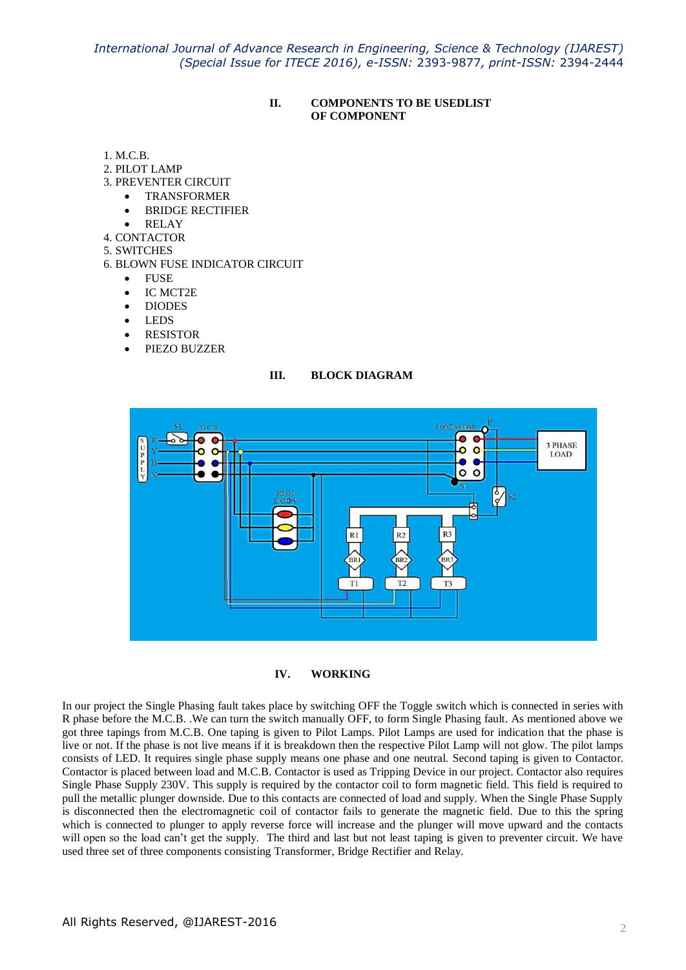*International Journal of Advance Research in Engineering, Science & Technology (IJAREST) (Special Issue for ITECE 2016), e-ISSN:* 2393-9877*, print-ISSN:* 2394-2444

## **II. COMPONENTS TO BE USEDLIST OF COMPONENT**

- 1. M.C.B.
- 2. PILOT LAMP
- 3. PREVENTER CIRCUIT
	- TRANSFORMER
		- BRIDGE RECTIFIER
	- RELAY
- 4. CONTACTOR
- 5. SWITCHES
- 6. BLOWN FUSE INDICATOR CIRCUIT
	- FUSE
	- IC MCT2E
	- DIODES
	- LEDS
	- RESISTOR
	- PIEZO BUZZER

### **III. BLOCK DIAGRAM**





In our project the Single Phasing fault takes place by switching OFF the Toggle switch which is connected in series with R phase before the M.C.B. .We can turn the switch manually OFF, to form Single Phasing fault. As mentioned above we got three tapings from M.C.B. One taping is given to Pilot Lamps. Pilot Lamps are used for indication that the phase is live or not. If the phase is not live means if it is breakdown then the respective Pilot Lamp will not glow. The pilot lamps consists of LED. It requires single phase supply means one phase and one neutral. Second taping is given to Contactor. Contactor is placed between load and M.C.B. Contactor is used as Tripping Device in our project. Contactor also requires Single Phase Supply 230V. This supply is required by the contactor coil to form magnetic field. This field is required to pull the metallic plunger downside. Due to this contacts are connected of load and supply. When the Single Phase Supply is disconnected then the electromagnetic coil of contactor fails to generate the magnetic field. Due to this the spring which is connected to plunger to apply reverse force will increase and the plunger will move upward and the contacts will open so the load can't get the supply. The third and last but not least taping is given to preventer circuit. We have used three set of three components consisting Transformer, Bridge Rectifier and Relay.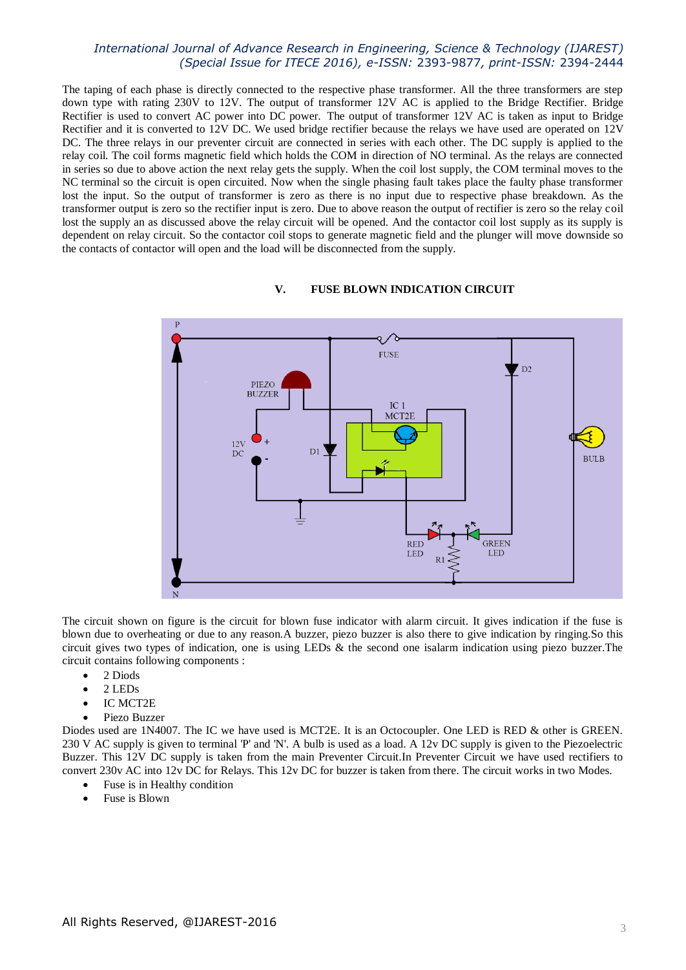# *International Journal of Advance Research in Engineering, Science & Technology (IJAREST) (Special Issue for ITECE 2016), e-ISSN:* 2393-9877*, print-ISSN:* 2394-2444

The taping of each phase is directly connected to the respective phase transformer. All the three transformers are step down type with rating 230V to 12V. The output of transformer 12V AC is applied to the Bridge Rectifier. Bridge Rectifier is used to convert AC power into DC power. The output of transformer 12V AC is taken as input to Bridge Rectifier and it is converted to 12V DC. We used bridge rectifier because the relays we have used are operated on 12V DC. The three relays in our preventer circuit are connected in series with each other. The DC supply is applied to the relay coil. The coil forms magnetic field which holds the COM in direction of NO terminal. As the relays are connected in series so due to above action the next relay gets the supply. When the coil lost supply, the COM terminal moves to the NC terminal so the circuit is open circuited. Now when the single phasing fault takes place the faulty phase transformer lost the input. So the output of transformer is zero as there is no input due to respective phase breakdown. As the transformer output is zero so the rectifier input is zero. Due to above reason the output of rectifier is zero so the relay coil lost the supply an as discussed above the relay circuit will be opened. And the contactor coil lost supply as its supply is dependent on relay circuit. So the contactor coil stops to generate magnetic field and the plunger will move downside so the contacts of contactor will open and the load will be disconnected from the supply.



## **V. FUSE BLOWN INDICATION CIRCUIT**

The circuit shown on figure is the circuit for blown fuse indicator with alarm circuit. It gives indication if the fuse is blown due to overheating or due to any reason.A buzzer, piezo buzzer is also there to give indication by ringing.So this circuit gives two types of indication, one is using LEDs & the second one isalarm indication using piezo buzzer.The circuit contains following components :

- 2 Diods
- 2 LEDs
- IC MCT2E
- Piezo Buzzer

Diodes used are 1N4007. The IC we have used is MCT2E. It is an Octocoupler. One LED is RED & other is GREEN. 230 V AC supply is given to terminal 'P' and 'N'. A bulb is used as a load. A 12v DC supply is given to the Piezoelectric Buzzer. This 12V DC supply is taken from the main Preventer Circuit.In Preventer Circuit we have used rectifiers to convert 230v AC into 12v DC for Relays. This 12v DC for buzzer is taken from there. The circuit works in two Modes.

- Fuse is in Healthy condition
- Fuse is Blown